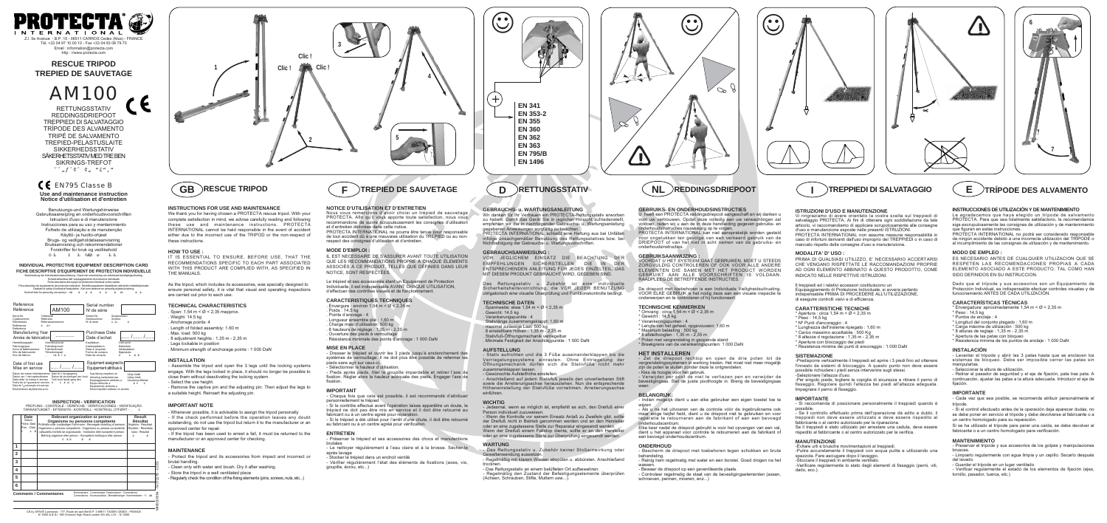**RESCUE TRIPOD TREPIED DE SAUVETAGE**

#### **ISTRUZIONI D'USO E MANUTENZIONE**

Vi ringraziamo di avere orientato la vostra scelta sul treppiedi di salvataggio PROTECTA. Ai fini di ottenere ogni soddisfazione da tale articolo, vi raccomandiamo di applicare scrupolosamente alle consegne d'uso e manutenzione esposte nelle presenti ISTRUZIONI. PROTECTA INTERNATIONAL non assume nessuna responsabilità in caso di infortuni derivanti dall'uso improprio del TREPPIEDI o in caso di mancato rispetto delle consegne d'uso e manutenzione.

#### **MODALITA' D' USO :**

PRIMA DI QUALSIASI UTILIZZO, E' NECESSARIO ACCERTARSI CHE VENGANO RISPETTATE LE RACCOMANDAZIONI PROPRIE AD OGNI ELEMENTO ABBINATO A QUESTO PRODOTTO, COME INDICATO NELLE RISPETTIVE ISTRUZIONI.

Il treppiedi ed i relativi accessori costituiscono un Equipaggiamento di Protezione Individuale, si avvera pertanto indispensabile PRIMA DI PROCEDERE ALL'UTILIZZAZIONE, di eseguire controlli visivi e di efficienza.

#### **CARATTERISTICHE TECNICHE**

- \* Apertura : circa 1,54 m < Ø < 2,35 m
- \* Peso : 14,5 kg
- \* Nº Punti d'ancoraggio : 4 \* Lunghezza dell'insieme ripiegato : 1,60 m
- \* Carico massimo accettabile : 500 Kg
- \* 8 altezze d regolazione : 1,35 m 2,35 m
- \* Apertura con bloccaggio dei piedi
- \* Resistenza minima dei punti di ancoraggio : 1 000 DaN

#### **SISTEMAZIONE**

-Predisporre verticalmente il treppiedi ed aprire i 3 piedi fino ad ottenere l'innesto de sistemi di bloccaggio. A questo punto non deve essere possibile richiudere i piedi senza intervenire sugli stessi. -Selezionare l'altezza d'uso.

**TERNATIONAL** I. 5e Avenue - B.P. 15 - 06511 CARROS Cedex (Nice) - FRANCE Tél. +33 04 97 10 00 10 - Fax +33 04 93 08 79 70 Email : information@protecta.com http : //www.protecta.com

> -Per singolo piede, togliere la copiglia di sicurezza e ritirare il perno di fissaggio. Regolare quindi l'altezza bei piedi all'altezza adeguata. Impegnare il perno di fissaggio.

#### **IMPORTANTE**

- Si raccomanda di posizionare personalmente il treppiedi quando è possibile.

- Se il controllo effettuato prima dell'operazione dà adito a dubbi, il treppiedi non deve essere utilizzato e deve essere rispedito al fabbricante o al centro autorizzato per la riparazione.

|                | Date<br>Datum<br>Fecha-Data<br>Pvm. - Dato<br>Ł E<br>Ħ | 0 R 0                          | Relevant organization or person<br>Organisme ou personne compétente<br>Prüfstelle oder zuständiger Fachmann - Bevoegde instelling of persoon<br>Organismo o persona competente - Organismo ou pessoa competente<br>valtuutettu henkilö tai organisaatio - Institution eller kompetent person<br>Behörig organism eller person - Kompetent institusjon eller person<br>泵 | Result<br><b>Résultat</b><br>Ergebnis - Resultaat<br>Risultato - Resultado<br>tulos - Resultat<br>A |
|----------------|--------------------------------------------------------|--------------------------------|-------------------------------------------------------------------------------------------------------------------------------------------------------------------------------------------------------------------------------------------------------------------------------------------------------------------------------------------------------------------------|-----------------------------------------------------------------------------------------------------|
| 1              |                                                        |                                |                                                                                                                                                                                                                                                                                                                                                                         |                                                                                                     |
| $\overline{2}$ |                                                        |                                |                                                                                                                                                                                                                                                                                                                                                                         |                                                                                                     |
| 3              |                                                        |                                |                                                                                                                                                                                                                                                                                                                                                                         |                                                                                                     |
| 4              |                                                        |                                |                                                                                                                                                                                                                                                                                                                                                                         |                                                                                                     |
| 5              |                                                        |                                |                                                                                                                                                                                                                                                                                                                                                                         |                                                                                                     |
| 6              |                                                        |                                |                                                                                                                                                                                                                                                                                                                                                                         |                                                                                                     |
|                |                                                        | <b>Comments / Commentaires</b> | Kommentare - Commentaar- Osservazioni - Comentarios<br>Comentários - Huomautuksia - Bemærkninger - Kommentarer - "1 ØE                                                                                                                                                                                                                                                  |                                                                                                     |
|                |                                                        |                                |                                                                                                                                                                                                                                                                                                                                                                         |                                                                                                     |

Se il treppiedi è stato utilizzato per arrestare una caduta, deve essere rispedito al fabbricante o al centro autorizzato per la verifica.

### **MANUTENZIONE**

-Evitare urti e brusche movimentazioni al treppiedi. -Pulire accuratamente il treppiedi con acqua pulita e utilizzando una

spazzola. Fare asciugare dopo il lavaggio. -Stoccare il treppiedi in ambiente ventilato.

-Verificare regolarmente lo stato degli elementi di fissaggio (perni, viti, dado, ecc.).



e figuran en estas instrucciones.

M980000064 - NOT227B - 02/03

**Use and maintenance instruction Notice d'utilisation et d'entretien**

Benutzungs-und Wartungshinweise Gebruiksaanwijzing en onderhoudsvoorschriften Istruzioni d'uso e di manutenzione Instrucciones para su uso y mantenimiento Folheto de utilização e de manutenção Käyttö- ja huolto-ohjeet Brugs- og vedligeholdelsesanvisning Bruksanvisning och rekommendationer Forskrifter for bruk og vedlikehold OŁ łŁ ºÆØ øŁŁ

IT IS ESSENTIAL TO ENSURE, BEFORE USE, THAT THE RECOMMENDATIONS SPECIFIC TO EACH PART ASSOCIATED WITH THIS PRODUCT ARE COMPLIED WITH, AS SPECIFIED IN THE MANUALS

**INDIVIDUAL PROTECTIVE EQUIPMENT DESCRIPTION CARD FICHE DESCRIPTIVE D'EQUIPEMENT DE PROTECTION INDIVIDUELLE**

Beschreibung der Individualschutzaustrüstung - Kaart met omschrijving van individuele beveiligingsuitrusting<br>
Scheda descrittiva dell'equipagiamento di protezione individual<br>
Ficha descrittiva della equipamento de protecc

. Span:  $1,54 \text{ m} < \emptyset < 2,35 \text{ map}$ Weight: 14.5 kg . Anchorage points: 4

Wir danken für Ihr Vertrauen ein PROTECTA-Rettungsstativ erworber zu haben. Damit das Gerät Sie in jeglicher Hinsicht zufriedenstellt, empfehlen wir die in nachfolgender Gebrauchs- u. Wartungsanleitung gegebenen Anweisungen sorgfältig zu beachten.

**INSPECTION - VERIFICATION** PRÜFUNG - CONTROLE - VERIFICHE - VERIFICACIONES - VERIFICAÇÃO TARKASTUKSET - EFTERSYN - KONTROLL - KONTROLL UTFØRT - ˛ł

Stativ aufrichten und die 3 Füße auseinanderklappen bis die Verriegelungssysteme einrasten. Ohne Entriegelung der Öffnungsmechanik dürfen sich die Stativfüße nicht mehr zusammenklappen lassen.

Gewünschte Aufstellhöhe einstellen

| Reference                                                                                                                                                                    |                                                                                                                  | Serial number                                                                                                                        |                                                                      |
|------------------------------------------------------------------------------------------------------------------------------------------------------------------------------|------------------------------------------------------------------------------------------------------------------|--------------------------------------------------------------------------------------------------------------------------------------|----------------------------------------------------------------------|
| Référence                                                                                                                                                                    | AM100                                                                                                            | N° de série                                                                                                                          |                                                                      |
| Kenn-Nr.<br>Viitekoodi<br>Referens<br>Codenummer<br>Riferimento<br>Referencia<br>Ø9<br>К<br>Referência                                                                       | Referansenummer                                                                                                  | Serien-Nr.<br>Serienummer<br>Nº di serie                                                                                             | Sarjanumero<br>Serienr.<br>A Ø1<br>Ø                                 |
| Manufacturing Year<br>Année de fabrication                                                                                                                                   |                                                                                                                  | Purchase Date<br>Date d'achat                                                                                                        |                                                                      |
| Herstellungsjahr<br>Fabricagejaar<br>Anno di fabbricazione<br>Año de fabricación<br>Ano de fabrico                                                                           | Valmistusvuosi<br>Fabrikasjonsår<br>Fabrikationsår<br>Tillverkningsår<br>$QR$ $R$ $Q$ $Q$                        | Kaufdatum<br>Aankoopdatum<br>Data d'acquisto<br>Fecha de compra<br>Data de compra                                                    | Osto-pvm<br>Købsdato<br>Inköpsdatum<br>Kjøpsdato<br>R R<br>Ŧ.<br>н   |
| Date of first use<br>Mise en service                                                                                                                                         |                                                                                                                  | Equipment assigned to<br>Equipement attribué à                                                                                       |                                                                      |
| Datum der ersten Inbetriebnahme<br>Datum van 1 ste ingebruikname<br>Datta della 1a messa in servizio<br>Fecha de la 1ª puesta en servicio<br>Data de 1ª colocação em serviço | Dato for 1 ibrugtagning<br>Datum då utrustningen tas i bruk<br>Tatt i bruk første gang den<br>Т.<br>R 17. %<br>н | Ausrüstung vergeben an<br>Uitrusting toebedeeld aan<br>Equipaggiamento attribuito a<br>Equipo atribuído a<br>Equipamento atribuído a | Utstyr tildelt<br>Udstyr tidelt<br>Utrustning tilldelad<br>R X<br>Ŧ. |

Le trépied et ses accessoires étant un Equipement de Protection Individuelle, il est indispensable AVANT CHAQUE UTILISATION, d'effectuer des contrôles visuels et de fonctionne

Ensimmäïnen käyttöönotto-pvm.

Kenen käyttöön laittesto on annettu

- . Envergure : environ  $1,54$  m <  $\emptyset$  < 2,35 m
- Poids  $\cdot$  14.5 kg
- . Points d'ancrage : 4
- . Longueur ensemble plié : 1,60 m
- . Charge maxi d'utilisation: 500 kg
- . 8 hauteurs de réglage : 1,35 m 2,35 m . Ouverture des pieds à verrouillage



#### **INSTRUCTIONS FOR USE AND MAINTENANCE**

We thank you for having chosen a PROTECTA rescue tripod. With your complete satisfaction in mind, we advise carefully reading and following these use and maintenance instructions. PROTECTA INTERNATIONAL cannot be held responsible in the event of accident either due to the incorrect use of the TRIPOD or the non-respect of these instructions.

> Préserver le trépied et ses accessoires des chocs et manutentions brutales

#### **HOW TO USE :**

**ROTECTA INTERNATIONAL kan niet aansprakelijk worden gesteld** voor ongelukken ten gevolge van een verkeerd gebruik van de DRIEPOOT of van het niet in acht nemen van de gebruiks- en onderhoudsinstructies.

As the tripod, which includes its accessories, was specially designed to ensure personal safety, it is vital that visual and operating inspections are carried out prior to each use.

#### **TECHNICAL CHARACTERISTICS**

- . Length of folded assembly: 1.60 m
- . Max. load: 500 kg . 8 adjustment heights : 1,35 m - 2,35 m
- . Legs lockable in position
- Omvang : circa  $1,54$  m <  $\varnothing$  < 2,35 m
- $*$  Gewicht : 14,5 kg
- \* Verankeringspunten : 4
- \* Lengte van het geheel, opgevouwen: 1,60 m
- \* Maximum belasting : 500 kg
- \* 8 afstelhoogten : 1,35 m 2,35 m
- \* Poten met vergrendeling in geopende stand \* Breekgrens van de verankeringspunten: 1 000 DaN

. Minimum strength of anchorage points : 1 000 DaN

#### **INSTALLATION**

- Assemble the tripod and open the 3 legs until the locking systems engage. With the legs locked in place, it should no longer be possible to close them without deactivating the locking system. - Select the use height.

> - Als u na het uitvoeren van de controle vóór de ingebruikname ook maar enige twijfel hebt, dient u de driepoot niet te gebruiken en voor reparatie te retourneren aan de fabrikant of aan een bevoegd lerhoudscentrum

- Remove the captive pin and the adjusting pin. Then adjust the legs to a suitable height. Reinsert the adjusting pin.

#### **IMPORTANT NOTE**

Bescherm de driepoot met toebehoren tegen schokken en brute behandeling.

- Reinig hem regelmatig met water en een borstel. Goed drogen na het wassen.
- Bewaar de driepoot op een geventileerde plaats.

- Whenever possible, it is advisable to assign the tripod personally - If the check performed before the operation leaves any doubt outstanding, do not use the tripod but return it to the manufacturer or an approved center for repair.

Le agradecemos que haya elegido un trípode de salvamento PROTECTA. Para que sea totalmente satisfactorio, le recomendamos siga escrupulosamente las consignas de utilización y de mantenimiento

- If the tripod has been used to arrest a fall, it must be returned to the

## manufacturer or an approved center for checking.

**MAINTENANCE** - Protect the tripod and its accessories from impact and incorrect or brutal handling.

- Clean only with water and brush. Dry it after washing.

Dado que el trípode y sus accesorios son un Equipamiento de Protección Individual, es indispensable efectuar controles visuales y de

- Store the tripod in a well ventilated place

- Regularly check the condition of the fixing elements (pins, screws, nuts, etc...)

#### $\begin{matrix} \textbf{F} \end{matrix}$  **TREPIED DE SAUVETAGE**  $\begin{matrix} \textbf{O} \end{matrix}$  **RETTUNGSSTATIV**  $\begin{matrix} \textbf{N} \end{matrix}$  **REDDINGSDRIEPOOT**  $\begin{matrix} \textbf{I} \end{matrix}$   $\begin{matrix} \textbf{R} \end{matrix}$   $\begin{matrix} \textbf{R} \end{matrix}$   $\begin{matrix} \textbf{R} \end{matrix}$   $\begin{matrix} \textbf{R} \end{matrix}$   $\begin{matrix} \textbf{S$ **GB** )RESCUE TRIPOD  $\left( \begin{array}{ccc} \textsf{F} \end{array} \right)$ TREPIED DE SAUVETAGE  $\left( \begin{array}{ccc} \textsf{D} \end{array} \right)$ RETTUNGSSTATIV

#### **GEBRAUCHS- u. WARTUNGSANLEITUNG**

- Levantar el trípode y abrir las 3 patas hasta que se enclaven los sistemas de bloqueo. Debe ser imposible cerrar las patas sin

Seleccionar la altura de utilización. Retirar el pasador de seguridad y el eje de fijación, pata tras pata. A continuación, ajustar las patas a la altura adecuada. Introducir el eje de fijación.

PROTECTA INTERNATIONAL schließt eine Haftung aus bei Unfällen infolge unsachgemäßer Benutzung des Rettungsstatives bzw. bei Nichtbefolgung der Gebrauchs- u. Wartungsvorschriften.

#### **GEBRAUCHSANWEISUNG :**

VOR JEGLICHEM EINSATZ DIE BEACHTUNG DER EMPFEHLUNGEN SICHERSTELLEN, DIE IN DER ENTSPRECHENDEN ANLEITUNG FÜR JEDES EINZELTEIL, DAS MIT DIESEM PRODUKT GEBRAUCHT WIRD, GEGEBEN SIND.

> Verificar regularmente el estado de los elementos de fijación (ejes, tornillo, pasador, tuerca, etc.)

RETTUNGSSTATIV REDDINGSDRIEPOOT TREPPIEDI DI SALVATAGGIO TRÍPODE DES ALVAMENTO TRIPÉ DE SALVAMENTO TREPIED-PELASTUSLAITE SIKKERHEDSSTATIV SÄKERHETSSTATIV MED TRE BEN SIKRINGS-TREFOT  $\sum_{n=0}^{\infty}$  f  $\hat{\zeta}$ <sup>o</sup>  $\hat{\zeta}$   $\hat{\zeta}$   $\hat{\zeta}$   $\hat{\zeta}$   $\hat{\zeta}$   $\hat{\zeta}$   $\hat{\zeta}$   $\hat{\zeta}$   $\hat{\zeta}$   $\hat{\zeta}$   $\hat{\zeta}$   $\hat{\zeta}$   $\hat{\zeta}$   $\hat{\zeta}$   $\hat{\zeta}$   $\hat{\zeta}$   $\hat{\zeta}$   $\hat{\zeta}$   $\hat{\zeta}$   $\hat{\zeta}$   $\hat{\zeta}$   $\hat$ AM100

> Das Rettungsstativ u. Zubehör ist eine individuelle Sicherheitsheitsvorrichtung, die VOR JEDER BENUTZUNG obligatorisch eine visuelle Überprüfung und Funktionskontrolle bedingt.

#### **TECHNISCHE DATEN**

Spannweite: etwa 1,54 m <  $\varnothing$  < 2,35 m

. Gewicht: 14,5 kg

. Verankerungspunkte : 4

. Stativlänge zusammengeklappt: 1,60 m . maximal zulässige Last: 500 kg

. 8 einstellbare Höhen : 1,35 m - 2,35 m

. Stativfuß-Öffnungsmechanik verriegelbar

. Minimale Festigkeit der Anschlagpunkte : 1 000 DaN

#### **AUFSTELLUNG**

- Anschließend auf jedem Stativfuß jeweils den unverlierbaren Stift sowie die Arretierungsachse herausziehen. Nun die entsprechende Höheneinstellung der Stativfüße vornehmen. Arretierungsachse

einführen.

Jedesmal, wenn es möglich ist, empfiehlt es sich, den Dreifuß einer Person individuell zuzuweis

#### **WICHTIG**

- Wenn die Kontrolle vor seinem Einsatz Anlaß zu Zweifeln gibt, sollte der Dreifuß nicht in Betrieb genommen werden und an den Herstelle oder an eine zugelassene Stelle zur Reparatur eingesandt werden. Wenn der Dreifuß einem Fallstop diente, sollte er an den Hersteller oder an eine zugelassene Stelle zur Überprüfung eingesandt werden. **WARTUNG**

- Das Rettungsstativ u. Zubehör keiner Stoßeinwirkung oder

Gewaltanwendung aussetzen. Regelmäßig mit klarem Wasser abspülen u. abbürsten. Anschließend trocknen. - Das Rettungsstativ an einem belüfteten Ort aufbewahren.

- Regelmäßig den Zustand der Befestigungselemente überprüfen (Achsen, Schrauben, Stifte, Muttern usw...).

#### **NOTICE D'UTILISATION ET D'ENTRETIEN**

Nous vous remercions d'avoir choisi un trépied de sauvetage PROTECTA. Afin qu'il vous apporte toute satisfaction, nous vous recommandons de suivre scrupuleusement les consignes d'utilisation et d'entretien délivrées dans cette notice.

PROTECTA INTERNATIONAL ne pourra être tenue pour responsable de tout accident dû à une mauvaise utilisation du TREPIED ou au nonrespect des consignes d'utilisation et d'entretien.

#### **MODE D'EMPLOI :**

IL EST NECESSAIRE DE S'ASSURER AVANT TOUTE UTILISATION QUE LES RECOMMANDATIONS PROPRE À CHAQUE ÉLEMENTS ASSOCIÉS À CE PRODUIT, TELLES QUE DÉFINIES DANS LEUR NOTICE, SONT RESPECTÉES.

#### **CARACTERISTIQUES TECHNIQUES**

. Résistance minimale des points d'ancrage : 1 000 DaN

#### **MISE EN PLACE**

- Dresser le trépied et ouvrir les 3 pieds jusqu'à enclenchement des systèmes de verrouillage. Il ne doit plus être possible de refermer les pieds sans agir sur ceux-ci. - Sélectionner la hauteur d'utilisation.

- Pieds après pieds, ôter la goupille imperdable et retirer l'axe de fixation. Régler alors la hauteur adéquate des pieds. Engager l'axe de fixation.

#### **IMPORTANT**

- Chaque fois que cela est possible, il est recommandé d'attribuer personnellement le trépied

- Si le contrôle effectué avant l'opération laisse apparâitre un doute, le trépied ne doit pas être mis en service et il doit être retourné au

fabricant ou à un centre agréé pour réparation. - Si le trépied a été utilisé pour l'arrêt d'une chute, il doit être retourné

au fabricant ou à un centre agréé pour vérification.

#### **ENTRETIEN**

- Le nettoyer régulièrement à l'eau claire et à la brosse. Sécher-le après lavage

- Stocker le trépied dans un endroit ventilé
- Vérifier régulièrement l'état des éléments de fixations (axes, vis, goupille, écrou, etc...)

## **REDDINGSDRIEPOOT**

#### **GEBRUIKS- EN ONDERHOUDSINSTRUCTIES**

U heeft een PROTECTA reddingsdriepoot aangeschaft en wij danken u voor uw vertrouwen. Opdat deze volledig aan uw verwachtingen zal voldoen, raden wij u aan de in deze handleiding gegeven gebruiks- en onderhoudsinstructies nauwkeurig op te volgen.

#### **GEBRUIKSAANWIJZING :**

VOORDAT U HET SYSTEEM GAAT GEBRUIKEN, MOET U STEEDS ZORGVULDIG CONTROLEREN OF OOK VOOR ALLE ANDERE ELEMENTEN DIE SAMEN MET HET PRODUCT WORDEN GEBRUIKT AAN ALLE VOORSCHRIFTEN IS VOLDAAN. RAADPLEEG DE BETREFFENDE INSTRUCTIES.

De driepoot met toebehoren is een Individuele Veiligheidsuitrusting. VOOR ELKE GEBRUIK is het nodig deze aan een visuele inspectie te onderwerpen en te controleren of hij functioneert.

#### **TECHNISCHE KENMERKEN**

#### **HET INSTALLEREN**

Zet de driepoot rechtop en open de drie poten tot de vergrendelingssystemen in werking treden. Het moet niet meer mogelijk zijn de poten te sluiten zonder deze te ontgrendelen.

Kies de hoogte voor het gebruik.

- Verwijder per poot de niet te verliezen pen en verwijder de bevestigingsas. Stel de juiste poothoogte in. Breng de bevestigingsas weer.

#### **BELANGRIJK:**

- Indien mogelijk dient u aan elke gebruiker een eigen toestel toe te wijzen

Elke keer nadat de driepoot gebruikt is voor het opvangen van een val, dient u het apparaat voor controle te retourneren aan de fabrikant of een bevoegd onderhoudscentrum.

#### **ONDERHOUD**

- Controleer regelmatig de staat van de bevestigingselementen (assen, schroeven, pennen, moeren, enz...)

## **TRÍPODE DES ALVAMENTO**

#### **INSTRUCCIONES DE UTILIZACIÓN Y DE MANTENIMIENTO**

PROTECTA INTERNATIONAL no podrá ser considerado responsable de ningún accidente debido a una incorrecta utilización del TRÍPODE o al incumplimiento de las consignas de utilización y de mantenimiento.

#### **MODO DE EMPLEO :**

ES NECESARIO ANTES DE CUALQUIER UTILIZACION QUE SE RESPETEN LAS RECOMENDACIONES PROPIAS A CADA ELEMENTO ASOCIADO A ESTE PRODUCTO, TAL COMO HAN SIDO DEFINIDOS EN SU INSTRUCCION.

funcionamiento ANTES DE CADA UTILIZACIÓN.

### **CARACTERÍSTICAS TÉCNICAS**

\* Envergadura: aproximadamente 1,54 m < Ø < 2,35 m

- 
- \* Peso : 14,5 kg \* Puntos de anclaje : 4
- \* Longitud del conjunto plegado : 1,60 m
- \* Carga máxima de utilización : 500 kg
- $*$  8 alturas de reglaje : 1,35 m 2,35 m
- \* Apertura de las patas con bloqueo
- 

\* Resistencia mínima de los puntos de anclaje : 1 000 DaN

### **INSTALACIÓN**

manipularlas.

**IMPORTANTE**

- Cada vez que sea posible, se recomienda atribuir personalmente el

trípode.

- Si el control efectuado antes de la operación deja aparecer dudas, no se debe poner en servicio el trípode y debe devolverse al fabricante o a un centro homologado para su reparación.

Si se ha utilizado el trípode para parar una caída, se debe devolver al fabricante o a un centro homologado para verificación.

**MANTENIMIENTO**

- Preservar el trípode y sus accesorios de los golpes y manipulaciones

bruscas.

- Limpiarlo regularmente con agua limpia y un cepillo. Secarlo después - Guardar el trípode en un lugar ventilado.

del lavado.







# EN795 Classe B



**EN 341 EN 353-2 EN 355 EN 360 EN 362 EN 363 EN 795/B EN 1496**

 $(+)$